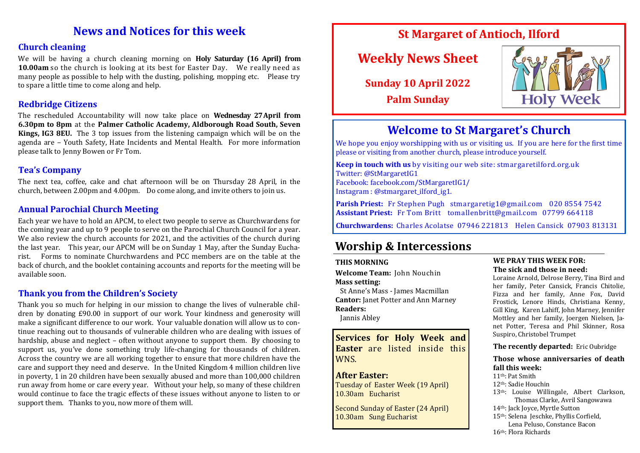## **News and Notices for this week**

#### **Church cleaning**

We will be having a church cleaning morning on **Holy Saturday (16 April) from 10.00am** so the church is looking at its best for Easter Day. We really need as many people as possible to help with the dusting, polishing, mopping etc. Please try to spare a little time to come along and help.

#### **Redbridge Citizens**

The rescheduled Accountability will now take place on **Wednesday 27April from 6.30pm to 8pm** at the **Palmer Catholic Academy, Aldborough Road South, Seven Kings, IG3 8EU.** The 3 top issues from the listening campaign which will be on the agenda are – Youth Safety, Hate Incidents and Mental Health. For more information please talk to Jenny Bowen or Fr Tom.

#### **Tea's Company**

The next tea, coffee, cake and chat afternoon will be on Thursday 28 April, in the church, between 2.00pm and 4.00pm. Do come along, and invite others to join us.

#### **Annual Parochial Church Meeting**

Each year we have to hold an APCM, to elect two people to serve as Churchwardens for the coming year and up to 9 people to serve on the Parochial Church Council for a year. We also review the church accounts for 2021, and the activities of the church during the last year. This year, our APCM will be on Sunday 1 May, after the Sunday Eucharist. Forms to nominate Churchwardens and PCC members are on the table at the back of church, and the booklet containing accounts and reports for the meeting will be available soon.

#### **Thank you from the Children's Society**

Thank you so much for helping in our mission to change the lives of vulnerable children by donating £90.00 in support of our work. Your kindness and generosity will make a significant difference to our work. Your valuable donation will allow us to continue reaching out to thousands of vulnerable children who are dealing with issues of hardship, abuse and neglect – often without anyone to support them. By choosing to support us, you've done something truly life-changing for thousands of children. Across the country we are all working together to ensure that more children have the care and support they need and deserve. In the United Kingdom 4 million children live in poverty, 1 in 20 children have been sexually abused and more than 100,000 children run away from home or care every year. Without your help, so many of these children would continue to face the tragic effects of these issues without anyone to listen to or support them. Thanks to you, now more of them will.

## **St Margaret of Antioch, Ilford**

# **Weekly News Sheet**

**Sunday 10 April 2022 Palm Sunday**



## **Welcome to St Margaret's Church**

We hope you enjoy worshipping with us or visiting us. If you are here for the first time please or visiting from another church, please introduce yourself.

**Keep in touch with us** by visiting our web site: stmargaretilford.org.uk Twitter: @StMargaretIG1 Facebook: facebook.com/StMargaretIG1/ Instagram : @stmargaret\_ilford\_ig1.

**Parish Priest:** Fr Stephen Pugh stmargaretig1@gmail.com 020 8554 7542 **Assistant Priest:** Fr Tom Britt tomallenbritt@gmail.com 07799 664118

**Churchwardens:** Charles Acolatse 07946 221813 Helen Cansick 07903 813131

## **Worship & Intercessions**

#### **THIS MORNING**

**Welcome Team:** John Nouchin **Mass setting:** 

 St Anne's Mass - James Macmillan **Cantor:** Janet Potter and Ann Marney **Readers:** 

Jannis Abley

**Services for Holy Week and Easter** are listed inside this WNS.

#### **After Easter:**

Tuesday of Easter Week (19 April) 10.30am Eucharist

Second Sunday of Easter (24 April) 10.30am Sung Eucharist

#### **WE PRAY THIS WEEK FOR: The sick and those in need:**

Loraine Arnold, Delrose Berry, Tina Bird and her family, Peter Cansick, Francis Chitolie, Fizza and her family, Anne Fox, David Frostick, Lenore Hinds, Christiana Kenny, Gill King, Karen Lahiff, John Marney, Jennifer Mottley and her family, Joergen Nielsen, Janet Potter, Teresa and Phil Skinner, Rosa Suspiro, Christobel Trumpet

**The recently departed:** Eric Oubridge

**Those whose anniversaries of death fall this week:**

11th: Pat Smith 12th: Sadie Houchin

- 
- 13th: Louise Willingale, Albert Clarkson, Thomas Clarke, Avril Sangowawa
- 14th: Jack Joyce, Myrtle Sutton
- 15th: Selena Jeschke, Phyllis Corfield, Lena Peluso, Constance Bacon

16th: Flora Richards